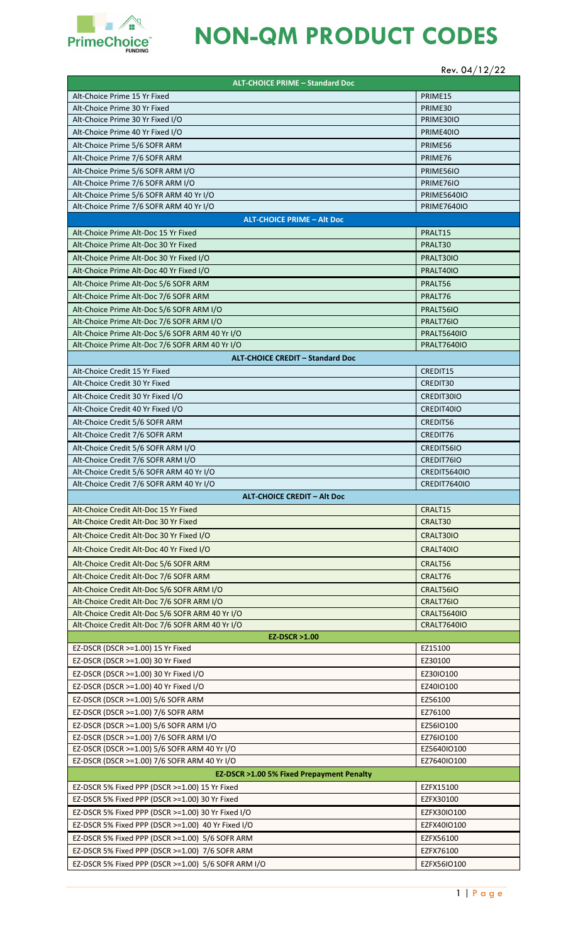

## **NON-QM PRODUCT CODES**

## Rev. 04/12/22

| <b>ALT-CHOICE PRIME - Standard Doc</b>                                                         |                                          |
|------------------------------------------------------------------------------------------------|------------------------------------------|
| Alt-Choice Prime 15 Yr Fixed                                                                   | PRIME15                                  |
| Alt-Choice Prime 30 Yr Fixed                                                                   | PRIME30                                  |
| Alt-Choice Prime 30 Yr Fixed I/O                                                               | PRIME30IO                                |
| Alt-Choice Prime 40 Yr Fixed I/O                                                               | PRIME40IO                                |
| Alt-Choice Prime 5/6 SOFR ARM                                                                  | PRIME56                                  |
| Alt-Choice Prime 7/6 SOFR ARM                                                                  | PRIME76                                  |
| Alt-Choice Prime 5/6 SOFR ARM I/O                                                              | PRIME56IO                                |
| Alt-Choice Prime 7/6 SOFR ARM I/O                                                              | PRIME76IO                                |
| Alt-Choice Prime 5/6 SOFR ARM 40 Yr I/O                                                        | <b>PRIME5640IO</b>                       |
| Alt-Choice Prime 7/6 SOFR ARM 40 Yr I/O                                                        | <b>PRIME7640IO</b>                       |
| <b>ALT-CHOICE PRIME - Alt Doc</b>                                                              |                                          |
| Alt-Choice Prime Alt-Doc 15 Yr Fixed                                                           | PRALT15                                  |
| Alt-Choice Prime Alt-Doc 30 Yr Fixed                                                           | PRALT30                                  |
| Alt-Choice Prime Alt-Doc 30 Yr Fixed I/O                                                       | PRALT30IO                                |
| Alt-Choice Prime Alt-Doc 40 Yr Fixed I/O                                                       | PRALT40IO                                |
| Alt-Choice Prime Alt-Doc 5/6 SOFR ARM                                                          | PRALT56                                  |
| Alt-Choice Prime Alt-Doc 7/6 SOFR ARM                                                          | PRALT76                                  |
| Alt-Choice Prime Alt-Doc 5/6 SOFR ARM I/O                                                      | PRALT56IO                                |
| Alt-Choice Prime Alt-Doc 7/6 SOFR ARM I/O                                                      | PRALT76IO                                |
| Alt-Choice Prime Alt-Doc 5/6 SOFR ARM 40 Yr I/O                                                | <b>PRALT5640IO</b>                       |
| Alt-Choice Prime Alt-Doc 7/6 SOFR ARM 40 Yr I/O                                                | <b>PRALT7640IO</b>                       |
| <b>ALT-CHOICE CREDIT - Standard Doc</b>                                                        |                                          |
| Alt-Choice Credit 15 Yr Fixed                                                                  | CREDIT15                                 |
| Alt-Choice Credit 30 Yr Fixed                                                                  | CREDIT30                                 |
| Alt-Choice Credit 30 Yr Fixed I/O                                                              | CREDIT30IO                               |
| Alt-Choice Credit 40 Yr Fixed I/O                                                              | CREDIT40IO                               |
| Alt-Choice Credit 5/6 SOFR ARM                                                                 | CREDIT56                                 |
| Alt-Choice Credit 7/6 SOFR ARM                                                                 | CREDIT76                                 |
| Alt-Choice Credit 5/6 SOFR ARM I/O                                                             | CREDIT56IO                               |
| Alt-Choice Credit 7/6 SOFR ARM I/O<br>Alt-Choice Credit 5/6 SOFR ARM 40 Yr I/O                 | CREDIT76IO<br><b>CREDIT5640IO</b>        |
| Alt-Choice Credit 7/6 SOFR ARM 40 Yr I/O                                                       | CREDIT7640IO                             |
| <b>ALT-CHOICE CREDIT - Alt Doc</b>                                                             |                                          |
| Alt-Choice Credit Alt-Doc 15 Yr Fixed                                                          | CRALT15                                  |
| Alt-Choice Credit Alt-Doc 30 Yr Fixed                                                          | CRALT30                                  |
| Alt-Choice Credit Alt-Doc 30 Yr Fixed I/O                                                      | CRALT30IO                                |
| Alt-Choice Credit Alt-Doc 40 Yr Fixed I/O                                                      | CRALT40IO                                |
|                                                                                                |                                          |
| Alt-Choice Credit Alt-Doc 5/6 SOFR ARM                                                         | CRALT56                                  |
| Alt-Choice Credit Alt-Doc 7/6 SOFR ARM                                                         | CRALT76                                  |
| Alt-Choice Credit Alt-Doc 5/6 SOFR ARM I/O                                                     | CRALT56IO                                |
| Alt-Choice Credit Alt-Doc 7/6 SOFR ARM I/O<br>Alt-Choice Credit Alt-Doc 5/6 SOFR ARM 40 Yr I/O | CRALT76IO                                |
| Alt-Choice Credit Alt-Doc 7/6 SOFR ARM 40 Yr I/O                                               | <b>CRALT5640IO</b><br><b>CRALT7640IO</b> |
| <b>EZ-DSCR &gt;1.00</b>                                                                        |                                          |
| EZ-DSCR (DSCR >=1.00) 15 Yr Fixed                                                              | EZ15100                                  |
| EZ-DSCR (DSCR >=1.00) 30 Yr Fixed                                                              | EZ30100                                  |
| EZ-DSCR (DSCR >=1.00) 30 Yr Fixed I/O                                                          | EZ30IO100                                |
| EZ-DSCR (DSCR >=1.00) 40 Yr Fixed I/O                                                          | EZ40IO100                                |
| EZ-DSCR (DSCR >=1.00) 5/6 SOFR ARM                                                             | EZ56100                                  |
| EZ-DSCR (DSCR >=1.00) 7/6 SOFR ARM                                                             | EZ76100                                  |
| EZ-DSCR (DSCR >=1.00) 5/6 SOFR ARM I/O                                                         | EZ56IO100                                |
| EZ-DSCR (DSCR >=1.00) 7/6 SOFR ARM I/O                                                         | EZ76IO100                                |
| EZ-DSCR (DSCR >=1.00) 5/6 SOFR ARM 40 Yr I/O                                                   | EZ5640IO100                              |
| EZ-DSCR (DSCR >=1.00) 7/6 SOFR ARM 40 Yr I/O                                                   | EZ7640IO100                              |
| EZ-DSCR >1.00 5% Fixed Prepayment Penalty                                                      |                                          |
| EZ-DSCR 5% Fixed PPP (DSCR >=1.00) 15 Yr Fixed                                                 | EZFX15100                                |
| EZ-DSCR 5% Fixed PPP (DSCR >=1.00) 30 Yr Fixed                                                 | EZFX30100                                |
| EZ-DSCR 5% Fixed PPP (DSCR >=1.00) 30 Yr Fixed I/O                                             | EZFX30IO100                              |
| EZ-DSCR 5% Fixed PPP (DSCR >=1.00) 40 Yr Fixed I/O                                             | EZFX40IO100                              |
| EZ-DSCR 5% Fixed PPP (DSCR >=1.00) 5/6 SOFR ARM                                                | EZFX56100                                |
| EZ-DSCR 5% Fixed PPP (DSCR >=1.00) 7/6 SOFR ARM                                                | EZFX76100                                |
| EZ-DSCR 5% Fixed PPP (DSCR >=1.00) 5/6 SOFR ARM I/O                                            | EZFX56IO100                              |